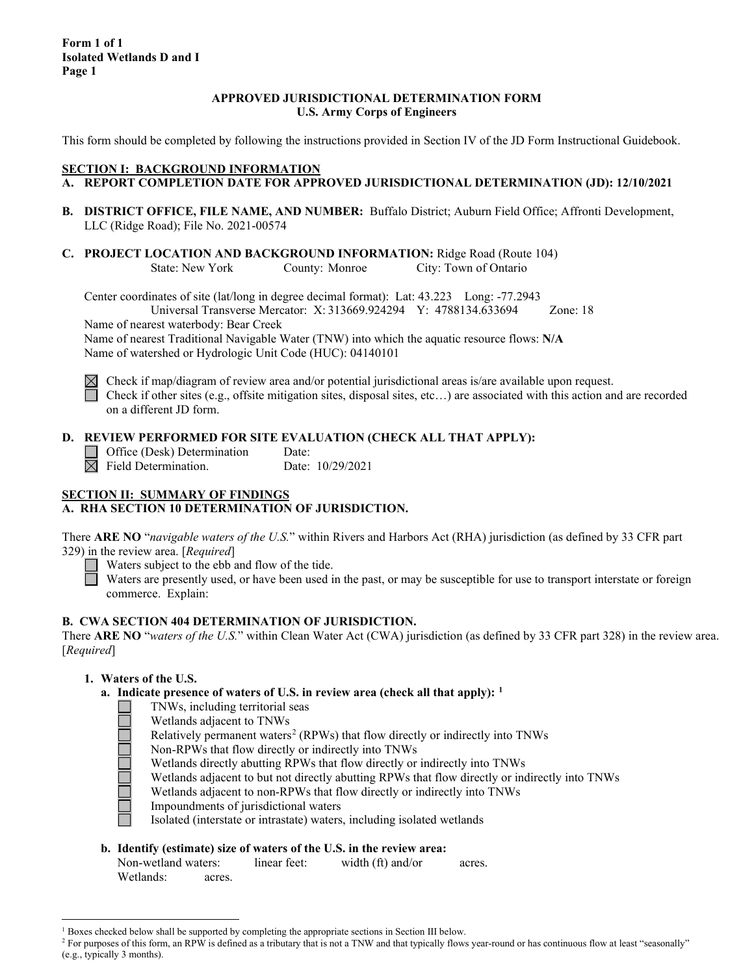**Form 1 of 1 Isolated Wetlands D and I Page 1**

#### **APPROVED JURISDICTIONAL DETERMINATION FORM U.S. Army Corps of Engineers**

This form should be completed by following the instructions provided in Section IV of the JD Form Instructional Guidebook.

#### **SECTION I: BACKGROUND INFORMATION A. REPORT COMPLETION DATE FOR APPROVED JURISDICTIONAL DETERMINATION (JD): 12/10/2021**

- **B. DISTRICT OFFICE, FILE NAME, AND NUMBER:** Buffalo District; Auburn Field Office; Affronti Development, LLC (Ridge Road); File No. 2021-00574
- **C. PROJECT LOCATION AND BACKGROUND INFORMATION:** Ridge Road (Route 104) State: New York County: Monroe City: Town of Ontario

Center coordinates of site (lat/long in degree decimal format): Lat: 43.223 Long: -77.2943 Universal Transverse Mercator: X: 313669.924294 Y: 4788134.633694 Zone: 18

Name of nearest waterbody: Bear Creek

Name of nearest Traditional Navigable Water (TNW) into which the aquatic resource flows: **N/A** Name of watershed or Hydrologic Unit Code (HUC): 04140101



Check if map/diagram of review area and/or potential jurisdictional areas is/are available upon request. Check if other sites (e.g., offsite mitigation sites, disposal sites, etc…) are associated with this action and are recorded on a different JD form.

### **D. REVIEW PERFORMED FOR SITE EVALUATION (CHECK ALL THAT APPLY):**

 $\Box$  Office (Desk) Determination Date:  $\boxtimes$  Field Determination. Date: 10/29/2021

# **SECTION II: SUMMARY OF FINDINGS**

# **A. RHA SECTION 10 DETERMINATION OF JURISDICTION.**

There **ARE NO** "*navigable waters of the U.S.*" within Rivers and Harbors Act (RHA) jurisdiction (as defined by 33 CFR part 329) in the review area. [*Required*]

Waters subject to the ebb and flow of the tide.

Waters are presently used, or have been used in the past, or may be susceptible for use to transport interstate or foreign commerce. Explain:

#### **B. CWA SECTION 404 DETERMINATION OF JURISDICTION.**

There **ARE NO** "*waters of the U.S.*" within Clean Water Act (CWA) jurisdiction (as defined by 33 CFR part 328) in the review area. [*Required*]

#### **1. Waters of the U.S.**

- **a. Indicate presence of waters of U.S. in review area (check all that apply): [1](#page-0-0)**
	- TNWs, including territorial seas
	- Wetlands adjacent to TNWs
	- Relatively permanent waters<sup>[2](#page-0-1)</sup> (RPWs) that flow directly or indirectly into TNWs
	- Non-RPWs that flow directly or indirectly into TNWs

Wetlands directly abutting RPWs that flow directly or indirectly into TNWs

Wetlands adjacent to but not directly abutting RPWs that flow directly or indirectly into TNWs

Wetlands adjacent to non-RPWs that flow directly or indirectly into TNWs

- Impoundments of jurisdictional waters
- Isolated (interstate or intrastate) waters, including isolated wetlands

#### **b. Identify (estimate) size of waters of the U.S. in the review area:**

Non-wetland waters: linear feet: width (ft) and/or acres. Wetlands: acres.

<sup>&</sup>lt;sup>1</sup> Boxes checked below shall be supported by completing the appropriate sections in Section III below.

<span id="page-0-1"></span><span id="page-0-0"></span><sup>&</sup>lt;sup>2</sup> For purposes of this form, an RPW is defined as a tributary that is not a TNW and that typically flows year-round or has continuous flow at least "seasonally" (e.g., typically 3 months).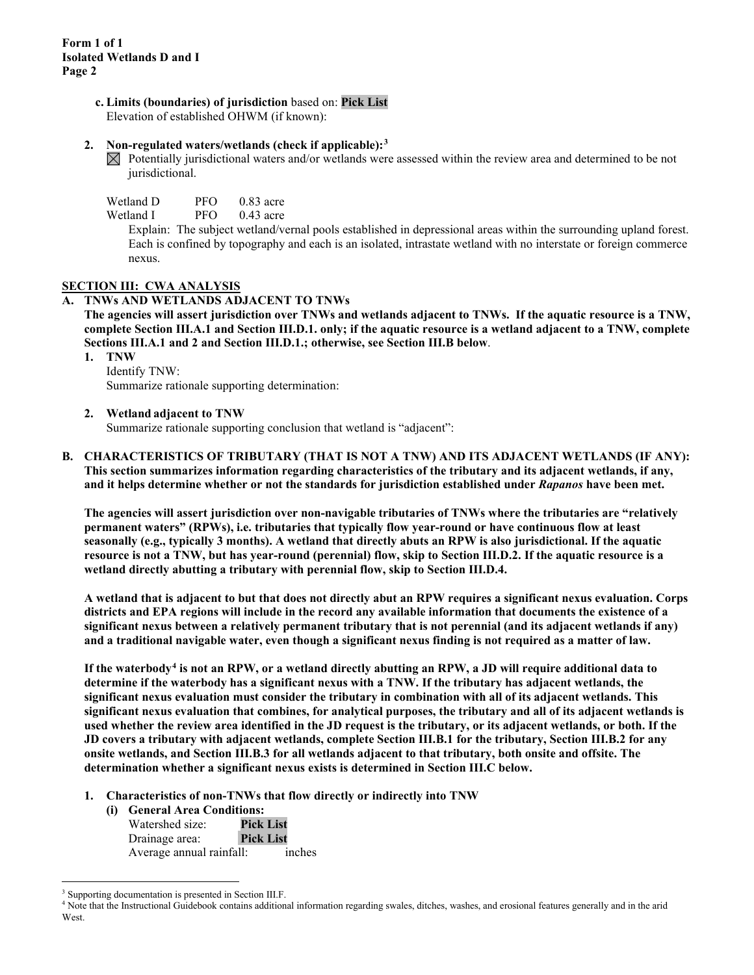**c. Limits (boundaries) of jurisdiction** based on: **Pick List**

Elevation of established OHWM (if known):

#### **2. Non-regulated waters/wetlands (check if applicable):[3](#page-1-0)**

 $\boxtimes$  Potentially jurisdictional waters and/or wetlands were assessed within the review area and determined to be not jurisdictional.

| Wetland D | PFO | $0.83$ acre |
|-----------|-----|-------------|
| ---       |     |             |

Wetland I PFO 0.43 acre

Explain: The subject wetland/vernal pools established in depressional areas within the surrounding upland forest. Each is confined by topography and each is an isolated, intrastate wetland with no interstate or foreign commerce nexus.

#### **SECTION III: CWA ANALYSIS**

#### **A. TNWs AND WETLANDS ADJACENT TO TNWs**

**The agencies will assert jurisdiction over TNWs and wetlands adjacent to TNWs. If the aquatic resource is a TNW, complete Section III.A.1 and Section III.D.1. only; if the aquatic resource is a wetland adjacent to a TNW, complete Sections III.A.1 and 2 and Section III.D.1.; otherwise, see Section III.B below**.

**1. TNW**  Identify TNW:

Summarize rationale supporting determination:

### **2. Wetland adjacent to TNW**

Summarize rationale supporting conclusion that wetland is "adjacent":

**B. CHARACTERISTICS OF TRIBUTARY (THAT IS NOT A TNW) AND ITS ADJACENT WETLANDS (IF ANY): This section summarizes information regarding characteristics of the tributary and its adjacent wetlands, if any, and it helps determine whether or not the standards for jurisdiction established under** *Rapanos* **have been met.** 

**The agencies will assert jurisdiction over non-navigable tributaries of TNWs where the tributaries are "relatively permanent waters" (RPWs), i.e. tributaries that typically flow year-round or have continuous flow at least seasonally (e.g., typically 3 months). A wetland that directly abuts an RPW is also jurisdictional. If the aquatic resource is not a TNW, but has year-round (perennial) flow, skip to Section III.D.2. If the aquatic resource is a wetland directly abutting a tributary with perennial flow, skip to Section III.D.4.** 

**A wetland that is adjacent to but that does not directly abut an RPW requires a significant nexus evaluation. Corps districts and EPA regions will include in the record any available information that documents the existence of a significant nexus between a relatively permanent tributary that is not perennial (and its adjacent wetlands if any) and a traditional navigable water, even though a significant nexus finding is not required as a matter of law.**

**If the waterbody[4](#page-1-1) is not an RPW, or a wetland directly abutting an RPW, a JD will require additional data to determine if the waterbody has a significant nexus with a TNW. If the tributary has adjacent wetlands, the significant nexus evaluation must consider the tributary in combination with all of its adjacent wetlands. This significant nexus evaluation that combines, for analytical purposes, the tributary and all of its adjacent wetlands is used whether the review area identified in the JD request is the tributary, or its adjacent wetlands, or both. If the JD covers a tributary with adjacent wetlands, complete Section III.B.1 for the tributary, Section III.B.2 for any onsite wetlands, and Section III.B.3 for all wetlands adjacent to that tributary, both onsite and offsite. The determination whether a significant nexus exists is determined in Section III.C below.**

- **1. Characteristics of non-TNWs that flow directly or indirectly into TNW**
	- **(i) General Area Conditions:**

| Watershed size:          | <b>Pick List</b> |
|--------------------------|------------------|
| Drainage area:           | <b>Pick List</b> |
| Average annual rainfall: | inches           |

<span id="page-1-0"></span><sup>&</sup>lt;sup>3</sup> Supporting documentation is presented in Section III.F.

<span id="page-1-1"></span><sup>4</sup> Note that the Instructional Guidebook contains additional information regarding swales, ditches, washes, and erosional features generally and in the arid West.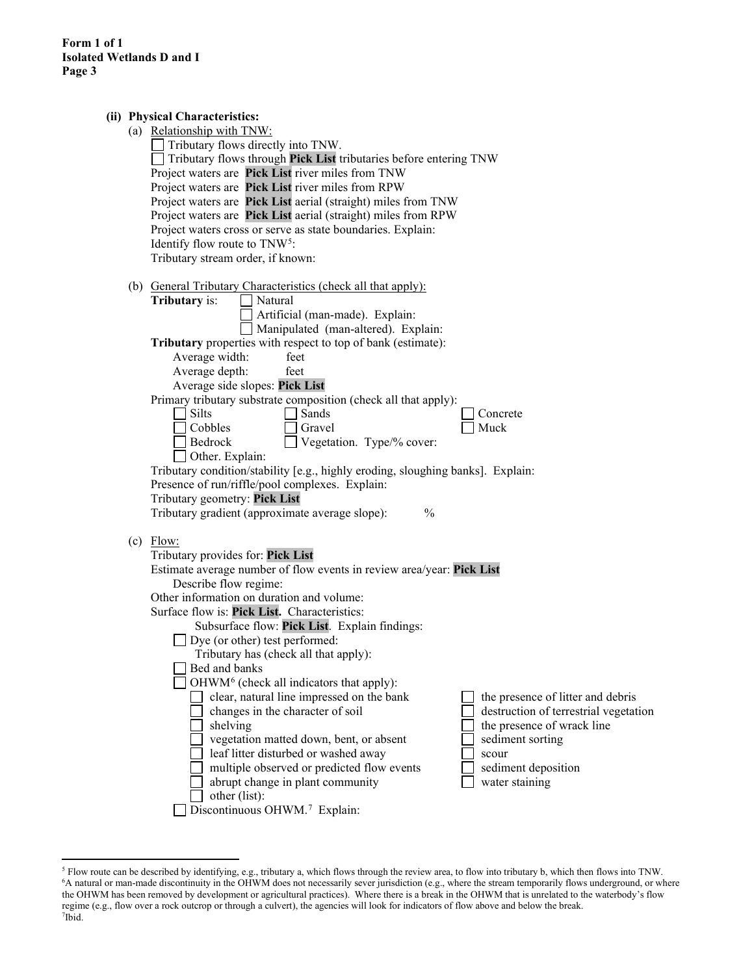|  | (ii) Physical Characteristics:                                                                                          |  |  |  |
|--|-------------------------------------------------------------------------------------------------------------------------|--|--|--|
|  | (a) Relationship with TNW:                                                                                              |  |  |  |
|  | Tributary flows directly into TNW.                                                                                      |  |  |  |
|  | Tributary flows through Pick List tributaries before entering TNW                                                       |  |  |  |
|  | Project waters are Pick List river miles from TNW                                                                       |  |  |  |
|  | Project waters are Pick List river miles from RPW                                                                       |  |  |  |
|  | Project waters are Pick List aerial (straight) miles from TNW                                                           |  |  |  |
|  | Project waters are Pick List aerial (straight) miles from RPW                                                           |  |  |  |
|  | Project waters cross or serve as state boundaries. Explain:                                                             |  |  |  |
|  | Identify flow route to TNW <sup>5</sup> :                                                                               |  |  |  |
|  | Tributary stream order, if known:                                                                                       |  |  |  |
|  | (b) General Tributary Characteristics (check all that apply):                                                           |  |  |  |
|  | Natural<br><b>Tributary</b> is:                                                                                         |  |  |  |
|  | Artificial (man-made). Explain:                                                                                         |  |  |  |
|  | Manipulated (man-altered). Explain:                                                                                     |  |  |  |
|  | Tributary properties with respect to top of bank (estimate):                                                            |  |  |  |
|  | Average width:<br>feet                                                                                                  |  |  |  |
|  | Average depth:<br>feet                                                                                                  |  |  |  |
|  | Average side slopes: Pick List                                                                                          |  |  |  |
|  | Primary tributary substrate composition (check all that apply):                                                         |  |  |  |
|  | Silts<br>Sands<br>Concrete                                                                                              |  |  |  |
|  | Cobbles<br>Muck<br>Gravel                                                                                               |  |  |  |
|  | Vegetation. Type/% cover:<br>Bedrock                                                                                    |  |  |  |
|  | Other. Explain:                                                                                                         |  |  |  |
|  | Tributary condition/stability [e.g., highly eroding, sloughing banks]. Explain:                                         |  |  |  |
|  | Presence of run/riffle/pool complexes. Explain:                                                                         |  |  |  |
|  | Tributary geometry: Pick List                                                                                           |  |  |  |
|  | $\frac{0}{0}$<br>Tributary gradient (approximate average slope):                                                        |  |  |  |
|  | $(c)$ Flow:                                                                                                             |  |  |  |
|  | Tributary provides for: Pick List                                                                                       |  |  |  |
|  | Estimate average number of flow events in review area/year: Pick List                                                   |  |  |  |
|  | Describe flow regime:                                                                                                   |  |  |  |
|  | Other information on duration and volume:                                                                               |  |  |  |
|  | Surface flow is: Pick List. Characteristics:                                                                            |  |  |  |
|  | Subsurface flow: Pick List. Explain findings:                                                                           |  |  |  |
|  | Dye (or other) test performed:                                                                                          |  |  |  |
|  | Tributary has (check all that apply):                                                                                   |  |  |  |
|  | Bed and banks                                                                                                           |  |  |  |
|  | $OHWM6$ (check all indicators that apply):                                                                              |  |  |  |
|  | clear, natural line impressed on the bank<br>the presence of litter and debris                                          |  |  |  |
|  | changes in the character of soil<br>destruction of terrestrial vegetation                                               |  |  |  |
|  | the presence of wrack line<br>shelving                                                                                  |  |  |  |
|  | vegetation matted down, bent, or absent<br>sediment sorting                                                             |  |  |  |
|  | leaf litter disturbed or washed away<br>scour                                                                           |  |  |  |
|  | multiple observed or predicted flow events<br>sediment deposition<br>abrupt change in plant community<br>water staining |  |  |  |
|  | other (list):                                                                                                           |  |  |  |
|  | Discontinuous OHWM.7 Explain:                                                                                           |  |  |  |
|  |                                                                                                                         |  |  |  |

<span id="page-2-2"></span><span id="page-2-1"></span><span id="page-2-0"></span><sup>&</sup>lt;sup>5</sup> Flow route can be described by identifying, e.g., tributary a, which flows through the review area, to flow into tributary b, which then flows into TNW.<br><sup>6</sup>A natural or man-made discontinuity in the OHWM does not neces the OHWM has been removed by development or agricultural practices). Where there is a break in the OHWM that is unrelated to the waterbody's flow regime (e.g., flow over a rock outcrop or through a culvert), the agencies will look for indicators of flow above and below the break. 7 Ibid.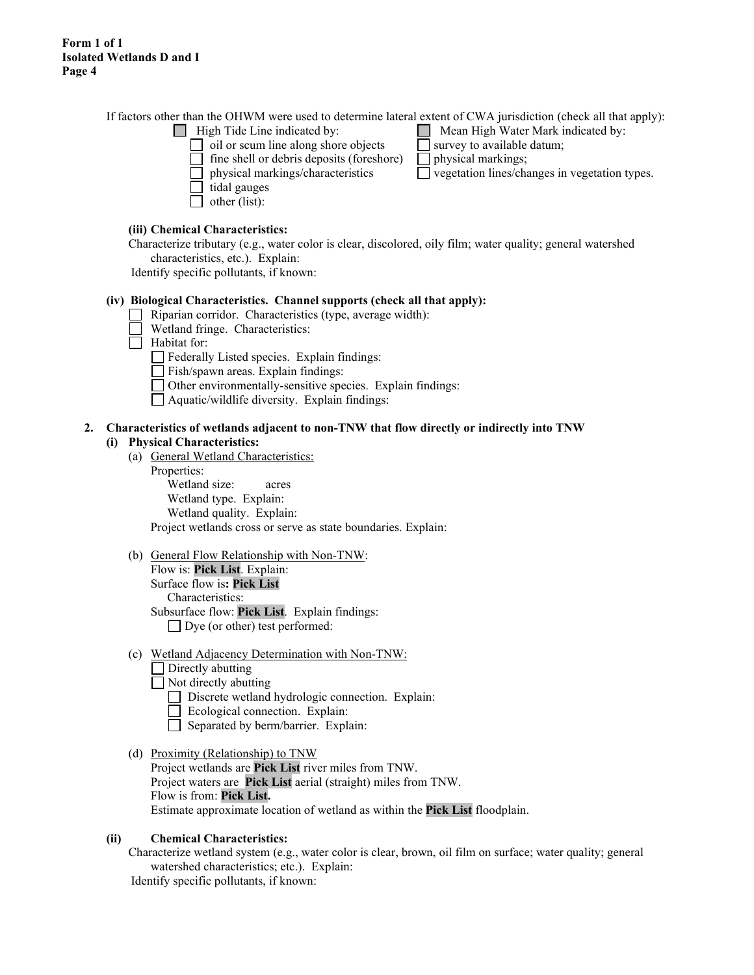If factors other than the OHWM were used to determine lateral extent of CWA jurisdiction (check all that apply):

- 
- $\Box$  oil or scum line along shore objects  $\Box$  survey to available datum;
	- fine shell or debris deposits (foreshore)  $\Box$  physical markings;
	-
- tidal gauges
- $\Box$  other (list):

### **(iii) Chemical Characteristics:**

Characterize tributary (e.g., water color is clear, discolored, oily film; water quality; general watershed characteristics, etc.). Explain:

Identify specific pollutants, if known:

#### **(iv) Biological Characteristics. Channel supports (check all that apply):**

- Riparian corridor. Characteristics (type, average width):
- Wetland fringe. Characteristics:
- $\Box$  Habitat for:
	- $\Box$  Federally Listed species. Explain findings:
	- Fish/spawn areas. Explain findings:
	- Other environmentally-sensitive species. Explain findings:
	- Aquatic/wildlife diversity. Explain findings:

#### **2. Characteristics of wetlands adjacent to non-TNW that flow directly or indirectly into TNW (i) Physical Characteristics:**

- (a) General Wetland Characteristics:
	- Properties:

Wetland size: acres Wetland type. Explain: Wetland quality. Explain: Project wetlands cross or serve as state boundaries. Explain:

#### (b) General Flow Relationship with Non-TNW: Flow is: **Pick List**. Explain:

Surface flow is**: Pick List**  Characteristics: Subsurface flow: **Pick List**. Explain findings: Dye (or other) test performed:

- (c) Wetland Adjacency Determination with Non-TNW:
	- $\Box$  Directly abutting
	- Not directly abutting
		- Discrete wetland hydrologic connection. Explain:
		- Ecological connection. Explain:
		- Separated by berm/barrier. Explain:
- (d) Proximity (Relationship) to TNW Project wetlands are **Pick List** river miles from TNW. Project waters are **Pick List** aerial (straight) miles from TNW. Flow is from: **Pick List.** Estimate approximate location of wetland as within the **Pick List** floodplain.

#### **(ii) Chemical Characteristics:**

Characterize wetland system (e.g., water color is clear, brown, oil film on surface; water quality; general watershed characteristics; etc.). Explain: Identify specific pollutants, if known:

- High Tide Line indicated by: Mean High Water Mark indicated by:
	-
	-
	- physical markings/characteristics vegetation lines/changes in vegetation types.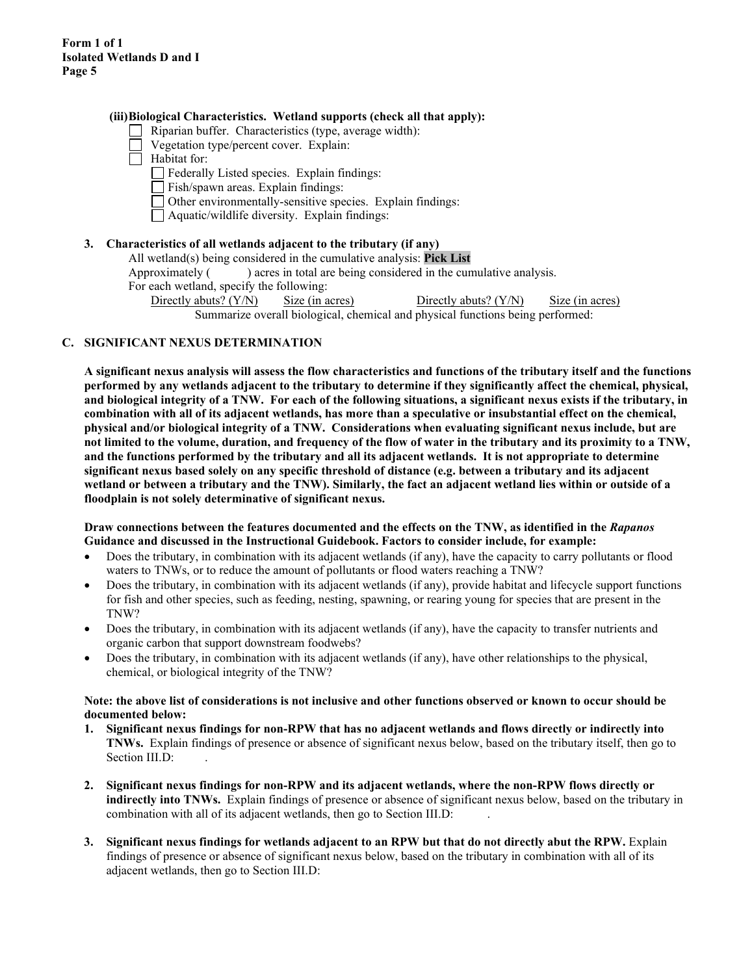#### **(iii)Biological Characteristics. Wetland supports (check all that apply):**

- Riparian buffer. Characteristics (type, average width):
- Vegetation type/percent cover. Explain:
- $\Box$  Habitat for:
	- Federally Listed species. Explain findings:
	- Fish/spawn areas. Explain findings:
	- Other environmentally-sensitive species. Explain findings:
	- Aquatic/wildlife diversity. Explain findings:

#### **3. Characteristics of all wetlands adjacent to the tributary (if any)**

- All wetland(s) being considered in the cumulative analysis: **Pick List**
- Approximately ( ) acres in total are being considered in the cumulative analysis.
- For each wetland, specify the following:
	- Directly abuts? (Y/N) Size (in acres) Directly abuts? (Y/N) Size (in acres) Summarize overall biological, chemical and physical functions being performed:

### **C. SIGNIFICANT NEXUS DETERMINATION**

**A significant nexus analysis will assess the flow characteristics and functions of the tributary itself and the functions performed by any wetlands adjacent to the tributary to determine if they significantly affect the chemical, physical, and biological integrity of a TNW. For each of the following situations, a significant nexus exists if the tributary, in combination with all of its adjacent wetlands, has more than a speculative or insubstantial effect on the chemical, physical and/or biological integrity of a TNW. Considerations when evaluating significant nexus include, but are not limited to the volume, duration, and frequency of the flow of water in the tributary and its proximity to a TNW, and the functions performed by the tributary and all its adjacent wetlands. It is not appropriate to determine significant nexus based solely on any specific threshold of distance (e.g. between a tributary and its adjacent wetland or between a tributary and the TNW). Similarly, the fact an adjacent wetland lies within or outside of a floodplain is not solely determinative of significant nexus.** 

#### **Draw connections between the features documented and the effects on the TNW, as identified in the** *Rapanos* **Guidance and discussed in the Instructional Guidebook. Factors to consider include, for example:**

- Does the tributary, in combination with its adjacent wetlands (if any), have the capacity to carry pollutants or flood waters to TNWs, or to reduce the amount of pollutants or flood waters reaching a TNW?
- Does the tributary, in combination with its adjacent wetlands (if any), provide habitat and lifecycle support functions for fish and other species, such as feeding, nesting, spawning, or rearing young for species that are present in the TNW?
- Does the tributary, in combination with its adjacent wetlands (if any), have the capacity to transfer nutrients and organic carbon that support downstream foodwebs?
- Does the tributary, in combination with its adjacent wetlands (if any), have other relationships to the physical, chemical, or biological integrity of the TNW?

#### **Note: the above list of considerations is not inclusive and other functions observed or known to occur should be documented below:**

- **1. Significant nexus findings for non-RPW that has no adjacent wetlands and flows directly or indirectly into TNWs.** Explain findings of presence or absence of significant nexus below, based on the tributary itself, then go to Section III.D:
- **2. Significant nexus findings for non-RPW and its adjacent wetlands, where the non-RPW flows directly or indirectly into TNWs.** Explain findings of presence or absence of significant nexus below, based on the tributary in combination with all of its adjacent wetlands, then go to Section III.D:
- **3. Significant nexus findings for wetlands adjacent to an RPW but that do not directly abut the RPW.** Explain findings of presence or absence of significant nexus below, based on the tributary in combination with all of its adjacent wetlands, then go to Section III.D: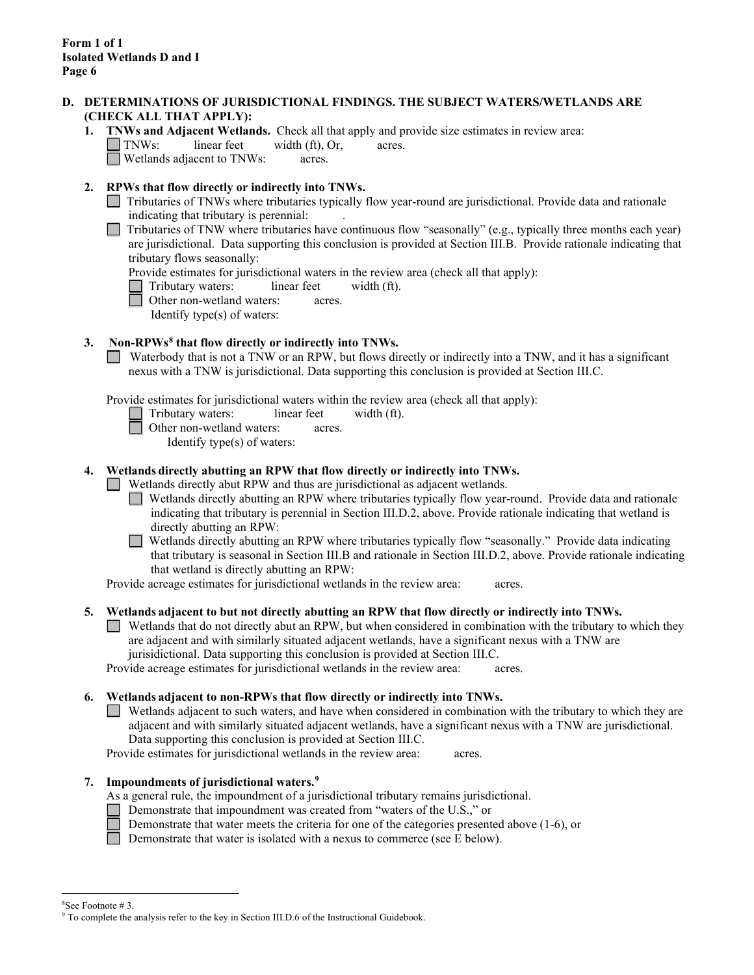### **D. DETERMINATIONS OF JURISDICTIONAL FINDINGS. THE SUBJECT WATERS/WETLANDS ARE (CHECK ALL THAT APPLY):**

**1. TNWs and Adjacent Wetlands.** Check all that apply and provide size estimates in review area:  $\Box$  TNWs: linear feet width (ft), Or, acres.

Wetlands adjacent to TNWs: acres.

## **2. RPWs that flow directly or indirectly into TNWs.**

- Tributaries of TNWs where tributaries typically flow year-round are jurisdictional. Provide data and rationale indicating that tributary is perennial: .
- $\Box$  Tributaries of TNW where tributaries have continuous flow "seasonally" (e.g., typically three months each year) are jurisdictional. Data supporting this conclusion is provided at Section III.B. Provide rationale indicating that tributary flows seasonally:

Provide estimates for jurisdictional waters in the review area (check all that apply):

Tributary waters: linear feet width (ft).

Other non-wetland waters: acres.

Identify type(s) of waters:

## **3. Non-RPWs[8](#page-5-0) that flow directly or indirectly into TNWs.**

Waterbody that is not a TNW or an RPW, but flows directly or indirectly into a TNW, and it has a significant nexus with a TNW is jurisdictional. Data supporting this conclusion is provided at Section III.C.

Provide estimates for jurisdictional waters within the review area (check all that apply):

- Tributary waters: linear feet width (ft).
	- Other non-wetland waters: acres.

Identify type(s) of waters:

## **4. Wetlands directly abutting an RPW that flow directly or indirectly into TNWs.**

Wetlands directly abut RPW and thus are jurisdictional as adjacent wetlands.

Wetlands directly abutting an RPW where tributaries typically flow year-round. Provide data and rationale indicating that tributary is perennial in Section III.D.2, above. Provide rationale indicating that wetland is directly abutting an RPW:

Wetlands directly abutting an RPW where tributaries typically flow "seasonally." Provide data indicating  $\Box$ that tributary is seasonal in Section III.B and rationale in Section III.D.2, above. Provide rationale indicating that wetland is directly abutting an RPW:

Provide acreage estimates for jurisdictional wetlands in the review area: acres.

#### **5. Wetlands adjacent to but not directly abutting an RPW that flow directly or indirectly into TNWs.**

Wetlands that do not directly abut an RPW, but when considered in combination with the tributary to which they are adjacent and with similarly situated adjacent wetlands, have a significant nexus with a TNW are jurisidictional. Data supporting this conclusion is provided at Section III.C.

Provide acreage estimates for jurisdictional wetlands in the review area: acres.

## **6. Wetlands adjacent to non-RPWs that flow directly or indirectly into TNWs.**

Wetlands adjacent to such waters, and have when considered in combination with the tributary to which they are adjacent and with similarly situated adjacent wetlands, have a significant nexus with a TNW are jurisdictional. Data supporting this conclusion is provided at Section III.C.

Provide estimates for jurisdictional wetlands in the review area: acres.

## **7. Impoundments of jurisdictional waters. [9](#page-5-1)**

As a general rule, the impoundment of a jurisdictional tributary remains jurisdictional.

- Demonstrate that impoundment was created from "waters of the U.S.," or
	- Demonstrate that water meets the criteria for one of the categories presented above (1-6), or
	- Demonstrate that water is isolated with a nexus to commerce (see E below).

<sup>&</sup>lt;sup>8</sup>See Footnote #3.

<span id="page-5-1"></span><span id="page-5-0"></span><sup>&</sup>lt;sup>9</sup> To complete the analysis refer to the key in Section III.D.6 of the Instructional Guidebook.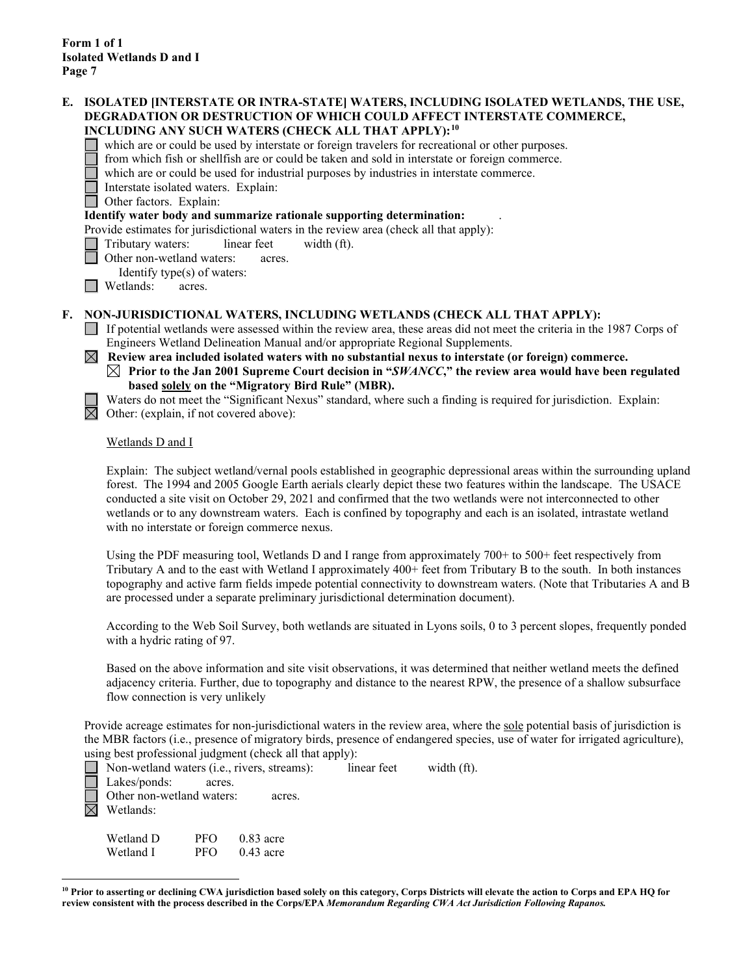#### **E. ISOLATED [INTERSTATE OR INTRA-STATE] WATERS, INCLUDING ISOLATED WETLANDS, THE USE, DEGRADATION OR DESTRUCTION OF WHICH COULD AFFECT INTERSTATE COMMERCE, INCLUDING ANY SUCH WATERS (CHECK ALL THAT APPLY):[10](#page-6-0)**

which are or could be used by interstate or foreign travelers for recreational or other purposes.

from which fish or shellfish are or could be taken and sold in interstate or foreign commerce.

which are or could be used for industrial purposes by industries in interstate commerce.

Interstate isolated waters.Explain:

Other factors.Explain:

#### **Identify water body and summarize rationale supporting determination:** .

Provide estimates for jurisdictional waters in the review area (check all that apply):

Tributary waters: linear feet width (ft).

Other non-wetland waters: acres.

Identify type(s) of waters:

**I Wetlands:** acres.

### **F. NON-JURISDICTIONAL WATERS, INCLUDING WETLANDS (CHECK ALL THAT APPLY):**

- If potential wetlands were assessed within the review area, these areas did not meet the criteria in the 1987 Corps of Engineers Wetland Delineation Manual and/or appropriate Regional Supplements.
- **Review area included isolated waters with no substantial nexus to interstate (or foreign) commerce. Prior to the Jan 2001 Supreme Court decision in "***SWANCC***," the review area would have been regulated based solely on the "Migratory Bird Rule" (MBR).**

Waters do not meet the "Significant Nexus" standard, where such a finding is required for jurisdiction. Explain:  $\boxtimes$  Other: (explain, if not covered above):

Wetlands D and I

Explain: The subject wetland/vernal pools established in geographic depressional areas within the surrounding upland forest. The 1994 and 2005 Google Earth aerials clearly depict these two features within the landscape. The USACE conducted a site visit on October 29, 2021 and confirmed that the two wetlands were not interconnected to other wetlands or to any downstream waters. Each is confined by topography and each is an isolated, intrastate wetland with no interstate or foreign commerce nexus.

Using the PDF measuring tool, Wetlands D and I range from approximately 700+ to 500+ feet respectively from Tributary A and to the east with Wetland I approximately 400+ feet from Tributary B to the south. In both instances topography and active farm fields impede potential connectivity to downstream waters. (Note that Tributaries A and B are processed under a separate preliminary jurisdictional determination document).

According to the Web Soil Survey, both wetlands are situated in Lyons soils, 0 to 3 percent slopes, frequently ponded with a hydric rating of 97.

Based on the above information and site visit observations, it was determined that neither wetland meets the defined adjacency criteria. Further, due to topography and distance to the nearest RPW, the presence of a shallow subsurface flow connection is very unlikely

Provide acreage estimates for non-jurisdictional waters in the review area, where the sole potential basis of jurisdiction is the MBR factors (i.e., presence of migratory birds, presence of endangered species, use of water for irrigated agriculture), using best professional judgment (check all that apply):

Non-wetland waters (i.e., rivers, streams): linear feet width (ft). Lakes/ponds: acres. Other non-wetland waters: acres.  $\boxtimes$  Wetlands: Wetland D PFO 0.83 acre Wetland I PFO 0.43 acre

<span id="page-6-0"></span>**<sup>10</sup> Prior to asserting or declining CWA jurisdiction based solely on this category, Corps Districts will elevate the action to Corps and EPA HQ for review consistent with the process described in the Corps/EPA** *Memorandum Regarding CWA Act Jurisdiction Following Rapanos.*